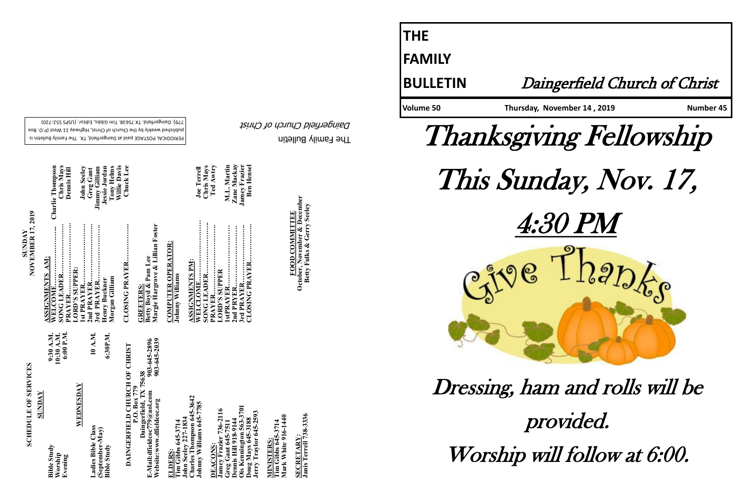The Family Bulletin Daingerfield Church of Christ

# **SCHEDULE OF SERVICES SCHEDULE OF SERVICES**

PERIODICAL POSTAGE paid at Daingerfield, TX. The Family Bulletin is published weekly by the Church of Christ, Highway 11 West (P.O. Box 720) - 779). Daingerfield. TX 75638. Tim Gibbs, Editor. (USPS 552

> **Charles Thompson 645-3642 Johnny Williams 645-7785**  Williams 645-**John Seeley 227-1834**  645-3714<br>v 227-1834  $\frac{\text{Im}\ \text{Se}}{\text{Var} \text{les}}$ ohnny  $ohn$

| SUNDAY | 6:00 P.M.<br>10:30 A.M.<br>9:30 A.M.     | WEDNESDAY | 10 A.M.<br>6:30P.M.                                         |
|--------|------------------------------------------|-----------|-------------------------------------------------------------|
|        | <b>Bible Study</b><br>Worship<br>Evening |           | Ladies Bible Class<br>(September-May)<br><b>Bible Study</b> |

903-645-2896<br>903-645-2039 **Website:www.dfieldcoc.org 903-645-2039 E-Mail:dfieldcoc779@aol.com 903-645-2896** CHURCH OF CHRIST **DAINGERFIELD CHURCH OF CHRIST Daingerfield, TX 75638 P.O. Box 779** E-Mail:dfieldcoc779@aol.c<br>Website:www.dfieldcoc.org **DAINGERFIEL** 

**Ois Kennington 563-3701 Jamey Frazier 736-2116 Jerry Traylor 645-2593 Greg Gant 645-7511 Dennis Hill 918-9144 Doug Mays 645-3188 doug Mays 64**<br>erry Traylor **DEACONS:**  nnis

**Tim Gibbs 645-3714**<br>Mark White 916-1440 **Mark White 916-1440 Tim Gibbs 645-3714 MINISTERS: AINISTERS** 

<u>SECRETARY</u>:<br>Janis Terrell 738-3336 **Janis Terrell 738-3336 SECRETARY:**

**WELCOME……………………... Charlie Thompson 1st PRAYER……………………… John Seeley SONG LEADER…………………. Chris Mays PRAYER………………………….. Dennis Hill 3rd PRAYER……………………. Jimmy Gilliam 2nd PRAYER…………………….. Greg Gant SUNDAY<br>NOVEMBER 17, 2019 NOVEMBER 17, 2019 ASSIGNMENTS AM: LORD'S SUPPER:**  LETER.<br>ADER

Charlie Thompson<br>Chris Mays<br>Demis Hill

**John Seele** 

**ELDERS: Tim Gibbs 645-3714** 

**CLOSING PRAYER…………….. Chuck Lee CLOSING PRAYER** 

COMPUTER OPERATOR:<br>Johnny Williams **COMPUTER OPERATOR: Johnny Williams**

**Henry Buckner Jessie Jordan Morgan Gilliam Tony Helms**

*Aorgan Gilliam* 

**Willie Davis** 

**Margie Hargrove & Lillian Foster** <u>GREETERS:</u><br>Betty Boyd & Pam Lee<br>Margie Hargrove & Lillian Foster **Betty Boyd & Pam Lee GREETERS:** 

| <b>ASSIGNMENTS PM:</b> |                      |
|------------------------|----------------------|
|                        | <b>Joe Terrell</b>   |
|                        | Chris Mays           |
| <b>PRAYER</b>          | Ted Awtry            |
| <b>LORD'S SUPPER</b>   |                      |
| 1stPRAYER              | M.L. Martin          |
|                        | Zane Mackay          |
| 3rd PRAYER             | <b>Jamey Frazier</b> |
|                        | <b>Ben Hensel</b>    |
|                        |                      |

**FOOD COMMITTEE FOOD COMMITTEE** Octob

mber **October, November & December Rober, Provember & December 4**<br>Betty Fulks & Gerry Seeley

**Betty Fulks & Gerry Seeley**

**THE FAMILY**



# **BULLETIN** Daingerfield Church of Christ

Volume 50 Thursday, November 14, 2019 Number 45







# Dressing, ham and rolls will be

provided. Worship will follow at 6:00.